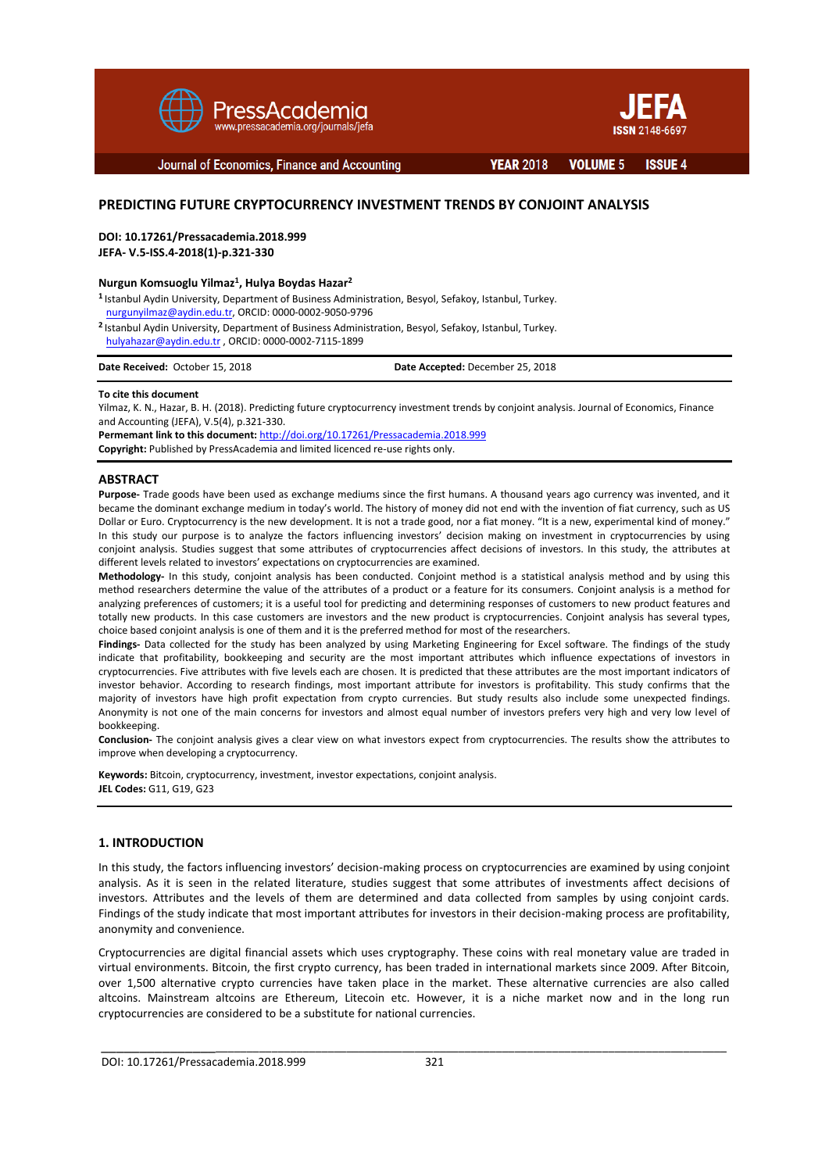



Journal of Economics, Finance and Accounting

**YEAR 2018** 

**VOLUME 5 ISSUE 4** 

# **PREDICTING FUTURE CRYPTOCURRENCY INVESTMENT TRENDS BY CONJOINT ANALYSIS**

**DOI: 10.17261/Pressacademia.2018.999**

**JEFA- V.5-ISS.4-2018(1)-p.321-330**

#### **Nurgun Komsuoglu Yilmaz<sup>1</sup> , Hulya Boydas Hazar<sup>2</sup>**

**1** Istanbul Aydin University, Department of Business Administration, Besyol, Sefakoy, Istanbul, Turkey. [nurgunyilmaz@aydin.edu.tr,](mailto:nurgunyilmaz@aydin.edu.tr) ORCID: 0000-0002-9050-9796

**<sup>2</sup>**Istanbul Aydin University, Department of Business Administration, Besyol, Sefakoy, Istanbul, Turkey. [hulyahazar@aydin.edu.tr](mailto:hulyahazar@aydin.edu.tr) , ORCID: 0000-0002-7115-1899

| Date Received: October 15, 2018 | Date Accepted: December 25, 2018 |
|---------------------------------|----------------------------------|
|                                 |                                  |

#### **To cite this document**

Yilmaz, K. N., Hazar, B. H. (2018). Predicting future cryptocurrency investment trends by conjoint analysis. Journal of Economics, Finance and Accounting (JEFA), V.5(4), p.321-330.

**Permemant link to this document:** <http://doi.org/10.17261/Pressacademia.2018.999> **Copyright:** Published by PressAcademia and limited licenced re-use rights only.

#### **ABSTRACT**

**Purpose-** Trade goods have been used as exchange mediums since the first humans. A thousand years ago currency was invented, and it became the dominant exchange medium in today's world. The history of money did not end with the invention of fiat currency, such as US Dollar or Euro. Cryptocurrency is the new development. It is not a trade good, nor a fiat money. "It is a new, experimental kind of money." In this study our purpose is to analyze the factors influencing investors' decision making on investment in cryptocurrencies by using conjoint analysis. Studies suggest that some attributes of cryptocurrencies affect decisions of investors. In this study, the attributes at different levels related to investors' expectations on cryptocurrencies are examined.

**Methodology-** In this study, conjoint analysis has been conducted. Conjoint method is a statistical analysis method and by using this method researchers determine the value of the attributes of a product or a feature for its consumers. Conjoint analysis is a method for analyzing preferences of customers; it is a useful tool for predicting and determining responses of customers to new product features and totally new products. In this case customers are investors and the new product is cryptocurrencies. Conjoint analysis has several types, choice based conjoint analysis is one of them and it is the preferred method for most of the researchers.

**Findings-** Data collected for the study has been analyzed by using Marketing Engineering for Excel software. The findings of the study indicate that profitability, bookkeeping and security are the most important attributes which influence expectations of investors in cryptocurrencies. Five attributes with five levels each are chosen. It is predicted that these attributes are the most important indicators of investor behavior. According to research findings, most important attribute for investors is profitability. This study confirms that the majority of investors have high profit expectation from crypto currencies. But study results also include some unexpected findings. Anonymity is not one of the main concerns for investors and almost equal number of investors prefers very high and very low level of bookkeeping.

**Conclusion-** The conjoint analysis gives a clear view on what investors expect from cryptocurrencies. The results show the attributes to improve when developing a cryptocurrency.

**Keywords:** Bitcoin, cryptocurrency, investment, investor expectations, conjoint analysis. **JEL Codes:** G11, G19, G23

## **1. INTRODUCTION**

In this study, the factors influencing investors' decision-making process on cryptocurrencies are examined by using conjoint analysis. As it is seen in the related literature, studies suggest that some attributes of investments affect decisions of investors. Attributes and the levels of them are determined and data collected from samples by using conjoint cards. Findings of the study indicate that most important attributes for investors in their decision-making process are profitability, anonymity and convenience.

Cryptocurrencies are digital financial assets which uses cryptography. These coins with real monetary value are traded in virtual environments. Bitcoin, the first crypto currency, has been traded in international markets since 2009. After Bitcoin, over 1,500 alternative crypto currencies have taken place in the market. These alternative currencies are also called altcoins. Mainstream altcoins are Ethereum, Litecoin etc. However, it is a niche market now and in the long run cryptocurrencies are considered to be a substitute for national currencies.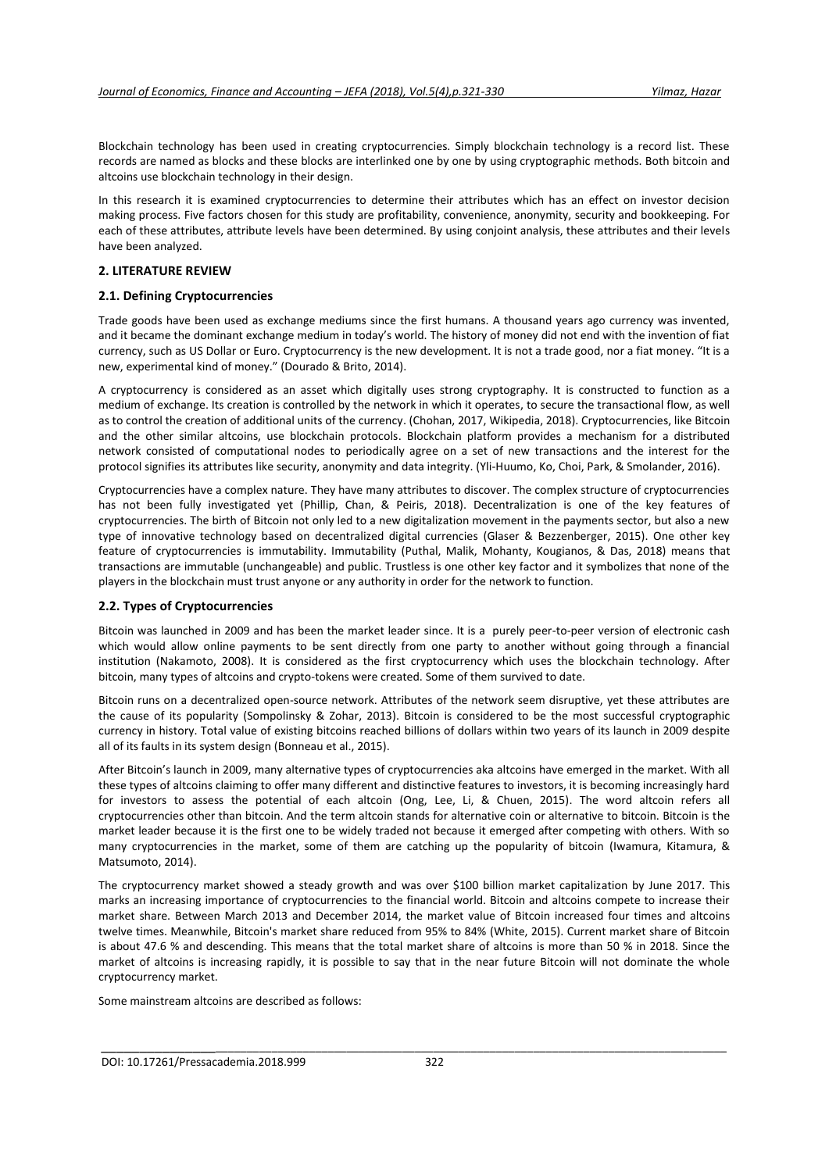Blockchain technology has been used in creating cryptocurrencies. Simply blockchain technology is a record list. These records are named as blocks and these blocks are interlinked one by one by using cryptographic methods. Both bitcoin and altcoins use blockchain technology in their design.

In this research it is examined cryptocurrencies to determine their attributes which has an effect on investor decision making process. Five factors chosen for this study are profitability, convenience, anonymity, security and bookkeeping. For each of these attributes, attribute levels have been determined. By using conjoint analysis, these attributes and their levels have been analyzed.

## **2. LITERATURE REVIEW**

## **2.1. Defining Cryptocurrencies**

Trade goods have been used as exchange mediums since the first humans. A thousand years ago currency was invented, and it became the dominant exchange medium in today's world. The history of money did not end with the invention of fiat currency, such as US Dollar or Euro. Cryptocurrency is the new development. It is not a trade good, nor a fiat money. "It is a new, experimental kind of money." (Dourado & Brito, 2014).

A cryptocurrency is considered as an asset which digitally uses strong cryptography. It is constructed to function as a medium of exchange. Its creation is controlled by the network in which it operates, to secure the transactional flow, as well as to control the creation of additional units of the currency. (Chohan, 2017, Wikipedia, 2018). Cryptocurrencies, like Bitcoin and the other similar altcoins, use blockchain protocols. Blockchain platform provides a mechanism for a distributed network consisted of computational nodes to periodically agree on a set of new transactions and the interest for the protocol signifies its attributes like security, anonymity and data integrity. (Yli-Huumo, Ko, Choi, Park, & Smolander, 2016).

Cryptocurrencies have a complex nature. They have many attributes to discover. The complex structure of cryptocurrencies has not been fully investigated yet (Phillip, Chan, & Peiris, 2018). Decentralization is one of the key features of cryptocurrencies. The birth of Bitcoin not only led to a new digitalization movement in the payments sector, but also a new type of innovative technology based on decentralized digital currencies (Glaser & Bezzenberger, 2015). One other key feature of cryptocurrencies is immutability. Immutability (Puthal, Malik, Mohanty, Kougianos, & Das, 2018) means that transactions are immutable (unchangeable) and public. Trustless is one other key factor and it symbolizes that none of the players in the blockchain must trust anyone or any authority in order for the network to function.

## **2.2. Types of Cryptocurrencies**

Bitcoin was launched in 2009 and has been the market leader since. It is a purely peer-to-peer version of electronic cash which would allow online payments to be sent directly from one party to another without going through a financial institution (Nakamoto, 2008). It is considered as the first cryptocurrency which uses the blockchain technology. After bitcoin, many types of altcoins and crypto-tokens were created. Some of them survived to date.

Bitcoin runs on a decentralized open-source network. Attributes of the network seem disruptive, yet these attributes are the cause of its popularity (Sompolinsky & Zohar, 2013). Bitcoin is considered to be the most successful cryptographic currency in history. Total value of existing bitcoins reached billions of dollars within two years of its launch in 2009 despite all of its faults in its system design (Bonneau et al., 2015).

After Bitcoin's launch in 2009, many alternative types of cryptocurrencies aka altcoins have emerged in the market. With all these types of altcoins claiming to offer many different and distinctive features to investors, it is becoming increasingly hard for investors to assess the potential of each altcoin (Ong, Lee, Li, & Chuen, 2015). The word altcoin refers all cryptocurrencies other than bitcoin. And the term altcoin stands for alternative coin or alternative to bitcoin. Bitcoin is the market leader because it is the first one to be widely traded not because it emerged after competing with others. With so many cryptocurrencies in the market, some of them are catching up the popularity of bitcoin (Iwamura, Kitamura, & Matsumoto, 2014).

The cryptocurrency market showed a steady growth and was over \$100 billion market capitalization by June 2017. This marks an increasing importance of cryptocurrencies to the financial world. Bitcoin and altcoins compete to increase their market share. Between March 2013 and December 2014, the market value of Bitcoin increased four times and altcoins twelve times. Meanwhile, Bitcoin's market share reduced from 95% to 84% (White, 2015). Current market share of Bitcoin is about 47.6 % and descending. This means that the total market share of altcoins is more than 50 % in 2018. Since the market of altcoins is increasing rapidly, it is possible to say that in the near future Bitcoin will not dominate the whole cryptocurrency market.

\_\_\_\_\_\_\_\_\_\_\_\_\_\_\_\_\_\_\_\_\_\_\_\_\_\_\_\_\_\_\_\_\_\_\_\_\_\_\_\_\_\_\_\_\_\_\_\_\_\_\_\_\_\_\_\_\_\_\_\_\_\_\_\_\_\_\_\_\_\_\_\_\_\_\_\_\_\_\_\_\_\_\_\_\_\_\_\_\_\_\_\_\_\_\_\_\_

Some mainstream altcoins are described as follows: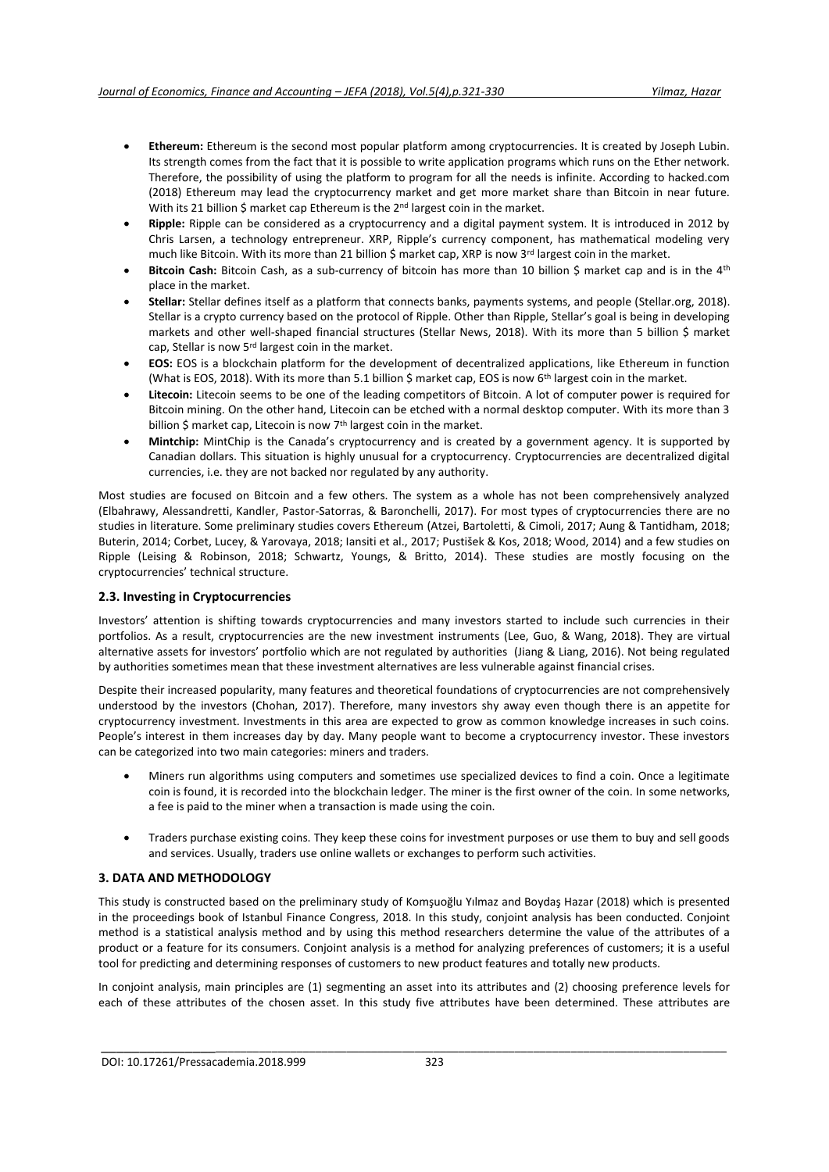- **Ethereum:** Ethereum is the second most popular platform among cryptocurrencies. It is created by Joseph Lubin. Its strength comes from the fact that it is possible to write application programs which runs on the Ether network. Therefore, the possibility of using the platform to program for all the needs is infinite. According to hacked.com (2018) Ethereum may lead the cryptocurrency market and get more market share than Bitcoin in near future. With its 21 billion \$ market cap Ethereum is the 2<sup>nd</sup> largest coin in the market.
- **Ripple:** Ripple can be considered as a cryptocurrency and a digital payment system. It is introduced in 2012 by Chris Larsen, a technology entrepreneur. XRP, Ripple's currency component, has mathematical modeling very much like Bitcoin. With its more than 21 billion \$ market cap, XRP is now 3<sup>rd</sup> largest coin in the market.
- **Bitcoin Cash:** Bitcoin Cash, as a sub-currency of bitcoin has more than 10 billion \$ market cap and is in the 4<sup>th</sup> place in the market.
- **Stellar:** Stellar defines itself as a platform that connects banks, payments systems, and people (Stellar.org, 2018). Stellar is a crypto currency based on the protocol of Ripple. Other than Ripple, Stellar's goal is being in developing markets and other well-shaped financial structures (Stellar News, 2018). With its more than 5 billion \$ market cap, Stellar is now 5rd largest coin in the market.
- **EOS:** EOS is a blockchain platform for the development of decentralized applications, like Ethereum in function (What is EOS, 2018). With its more than 5.1 billion \$ market cap, EOS is now 6<sup>th</sup> largest coin in the market.
- **Litecoin:** Litecoin seems to be one of the leading competitors of Bitcoin. A lot of computer power is required for Bitcoin mining. On the other hand, Litecoin can be etched with a normal desktop computer. With its more than 3 billion \$ market cap, Litecoin is now 7<sup>th</sup> largest coin in the market.
- **Mintchip:** MintChip is the Canada's cryptocurrency and is created by a government agency. It is supported by Canadian dollars. This situation is highly unusual for a cryptocurrency. Cryptocurrencies are decentralized digital currencies, i.e. they are not backed nor regulated by any authority.

Most studies are focused on Bitcoin and a few others. The system as a whole has not been comprehensively analyzed (Elbahrawy, Alessandretti, Kandler, Pastor-Satorras, & Baronchelli, 2017). For most types of cryptocurrencies there are no studies in literature. Some preliminary studies covers Ethereum (Atzei, Bartoletti, & Cimoli, 2017; Aung & Tantidham, 2018; Buterin, 2014; Corbet, Lucey, & Yarovaya, 2018; Iansiti et al., 2017; Pustišek & Kos, 2018; Wood, 2014) and a few studies on Ripple (Leising & Robinson, 2018; Schwartz, Youngs, & Britto, 2014). These studies are mostly focusing on the cryptocurrencies' technical structure.

# **2.3. Investing in Cryptocurrencies**

Investors' attention is shifting towards cryptocurrencies and many investors started to include such currencies in their portfolios. As a result, cryptocurrencies are the new investment instruments (Lee, Guo, & Wang, 2018). They are virtual alternative assets for investors' portfolio which are not regulated by authorities (Jiang & Liang, 2016). Not being regulated by authorities sometimes mean that these investment alternatives are less vulnerable against financial crises.

Despite their increased popularity, many features and theoretical foundations of cryptocurrencies are not comprehensively understood by the investors (Chohan, 2017). Therefore, many investors shy away even though there is an appetite for cryptocurrency investment. Investments in this area are expected to grow as common knowledge increases in such coins. People's interest in them increases day by day. Many people want to become a cryptocurrency investor. These investors can be categorized into two main categories: miners and traders.

- Miners run algorithms using computers and sometimes use specialized devices to find a coin. Once a legitimate coin is found, it is recorded into the blockchain ledger. The miner is the first owner of the coin. In some networks, a fee is paid to the miner when a transaction is made using the coin.
- Traders purchase existing coins. They keep these coins for investment purposes or use them to buy and sell goods and services. Usually, traders use online wallets or exchanges to perform such activities.

# **3. DATA AND METHODOLOGY**

This study is constructed based on the preliminary study of Komşuoğlu Yılmaz and Boydaş Hazar (2018) which is presented in the proceedings book of Istanbul Finance Congress, 2018. In this study, conjoint analysis has been conducted. Conjoint method is a statistical analysis method and by using this method researchers determine the value of the attributes of a product or a feature for its consumers. Conjoint analysis is a method for analyzing preferences of customers; it is a useful tool for predicting and determining responses of customers to new product features and totally new products.

In conjoint analysis, main principles are (1) segmenting an asset into its attributes and (2) choosing preference levels for each of these attributes of the chosen asset. In this study five attributes have been determined. These attributes are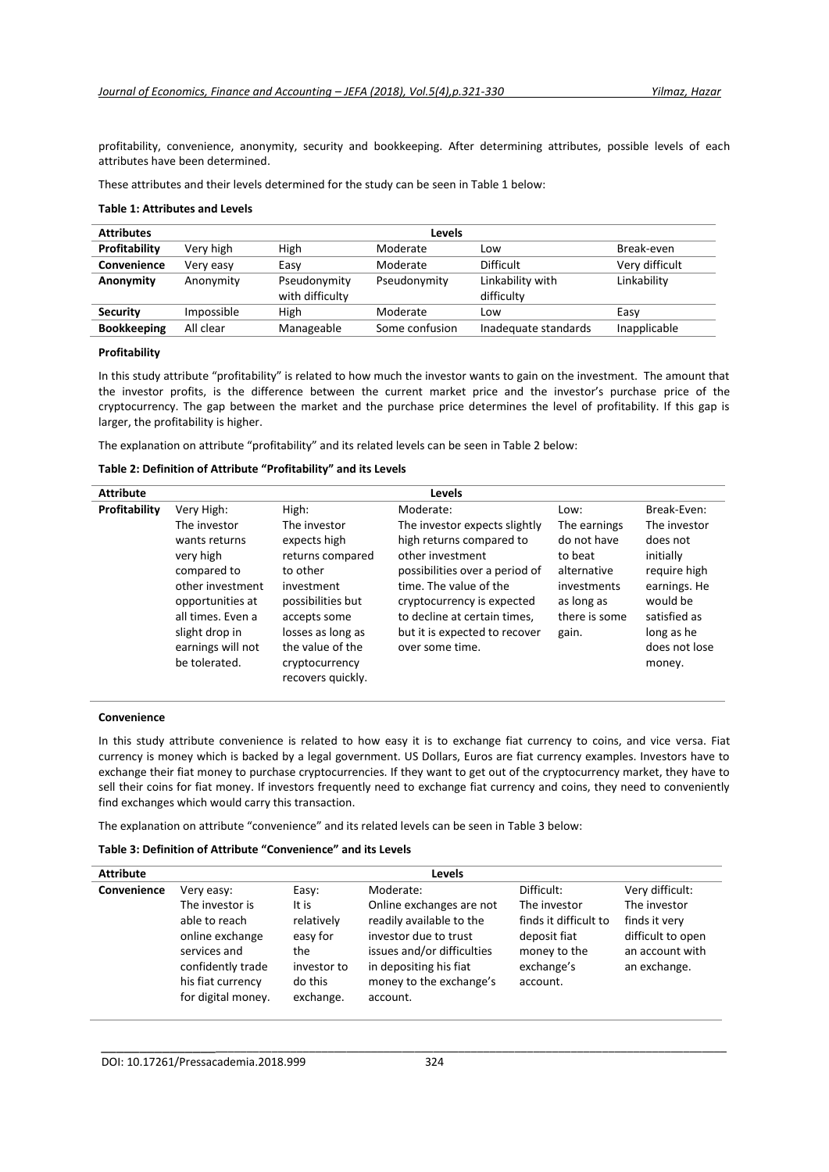profitability, convenience, anonymity, security and bookkeeping. After determining attributes, possible levels of each attributes have been determined.

These attributes and their levels determined for the study can be seen in Table 1 below:

#### **Table 1: Attributes and Levels**

| <b>Attributes</b>  | Levels     |                                 |                |                                |                |
|--------------------|------------|---------------------------------|----------------|--------------------------------|----------------|
| Profitability      | Very high  | High                            | Moderate       | Low                            | Break-even     |
| Convenience        | Very easy  | Easy                            | Moderate       | <b>Difficult</b>               | Very difficult |
| Anonymity          | Anonymity  | Pseudonymity<br>with difficulty | Pseudonymity   | Linkability with<br>difficulty | Linkability    |
| <b>Security</b>    | Impossible | High                            | Moderate       | Low                            | Easy           |
| <b>Bookkeeping</b> | All clear  | Manageable                      | Some confusion | Inadequate standards           | Inapplicable   |

### **Profitability**

In this study attribute "profitability" is related to how much the investor wants to gain on the investment. The amount that the investor profits, is the difference between the current market price and the investor's purchase price of the cryptocurrency. The gap between the market and the purchase price determines the level of profitability. If this gap is larger, the profitability is higher.

The explanation on attribute "profitability" and its related levels can be seen in Table 2 below:

### **Table 2: Definition of Attribute "Profitability" and its Levels**

| <b>Attribute</b> |                                                                                                                                                                             |                                                                                                                                                                   | Levels                                                                                                                                                                                                                                                                   |                                                                                                                      |                                                                                                                                                 |
|------------------|-----------------------------------------------------------------------------------------------------------------------------------------------------------------------------|-------------------------------------------------------------------------------------------------------------------------------------------------------------------|--------------------------------------------------------------------------------------------------------------------------------------------------------------------------------------------------------------------------------------------------------------------------|----------------------------------------------------------------------------------------------------------------------|-------------------------------------------------------------------------------------------------------------------------------------------------|
| Profitability    | Very High:<br>The investor<br>wants returns<br>very high<br>compared to<br>other investment<br>opportunities at<br>all times. Even a<br>slight drop in<br>earnings will not | High:<br>The investor<br>expects high<br>returns compared<br>to other<br>investment<br>possibilities but<br>accepts some<br>losses as long as<br>the value of the | Moderate:<br>The investor expects slightly<br>high returns compared to<br>other investment<br>possibilities over a period of<br>time. The value of the<br>cryptocurrency is expected<br>to decline at certain times,<br>but it is expected to recover<br>over some time. | Low:<br>The earnings<br>do not have<br>to beat<br>alternative<br>investments<br>as long as<br>there is some<br>gain. | Break-Even:<br>The investor<br>does not<br>initially<br>require high<br>earnings. He<br>would be<br>satisfied as<br>long as he<br>does not lose |
|                  | be tolerated.                                                                                                                                                               | cryptocurrency<br>recovers quickly.                                                                                                                               |                                                                                                                                                                                                                                                                          |                                                                                                                      | money.                                                                                                                                          |

#### **Convenience**

In this study attribute convenience is related to how easy it is to exchange fiat currency to coins, and vice versa. Fiat currency is money which is backed by a legal government. US Dollars, Euros are fiat currency examples. Investors have to exchange their fiat money to purchase cryptocurrencies. If they want to get out of the cryptocurrency market, they have to sell their coins for fiat money. If investors frequently need to exchange fiat currency and coins, they need to conveniently find exchanges which would carry this transaction.

The explanation on attribute "convenience" and its related levels can be seen in Table 3 below:

## **Table 3: Definition of Attribute "Convenience" and its Levels**

| <b>Attribute</b> |                                                                                                                  |                                                                      | Levels                                                                                                                                           |                                                                                 |                                                                       |
|------------------|------------------------------------------------------------------------------------------------------------------|----------------------------------------------------------------------|--------------------------------------------------------------------------------------------------------------------------------------------------|---------------------------------------------------------------------------------|-----------------------------------------------------------------------|
| Convenience      | Very easy:                                                                                                       | Easy:                                                                | Moderate:                                                                                                                                        | Difficult:                                                                      | Very difficult:                                                       |
|                  | The investor is                                                                                                  | It is                                                                | Online exchanges are not                                                                                                                         | The investor                                                                    | The investor                                                          |
|                  | able to reach<br>online exchange<br>services and<br>confidently trade<br>his fiat currency<br>for digital money. | relatively<br>easy for<br>the<br>investor to<br>do this<br>exchange. | readily available to the<br>investor due to trust<br>issues and/or difficulties<br>in depositing his fiat<br>money to the exchange's<br>account. | finds it difficult to<br>deposit fiat<br>money to the<br>exchange's<br>account. | finds it very<br>difficult to open<br>an account with<br>an exchange. |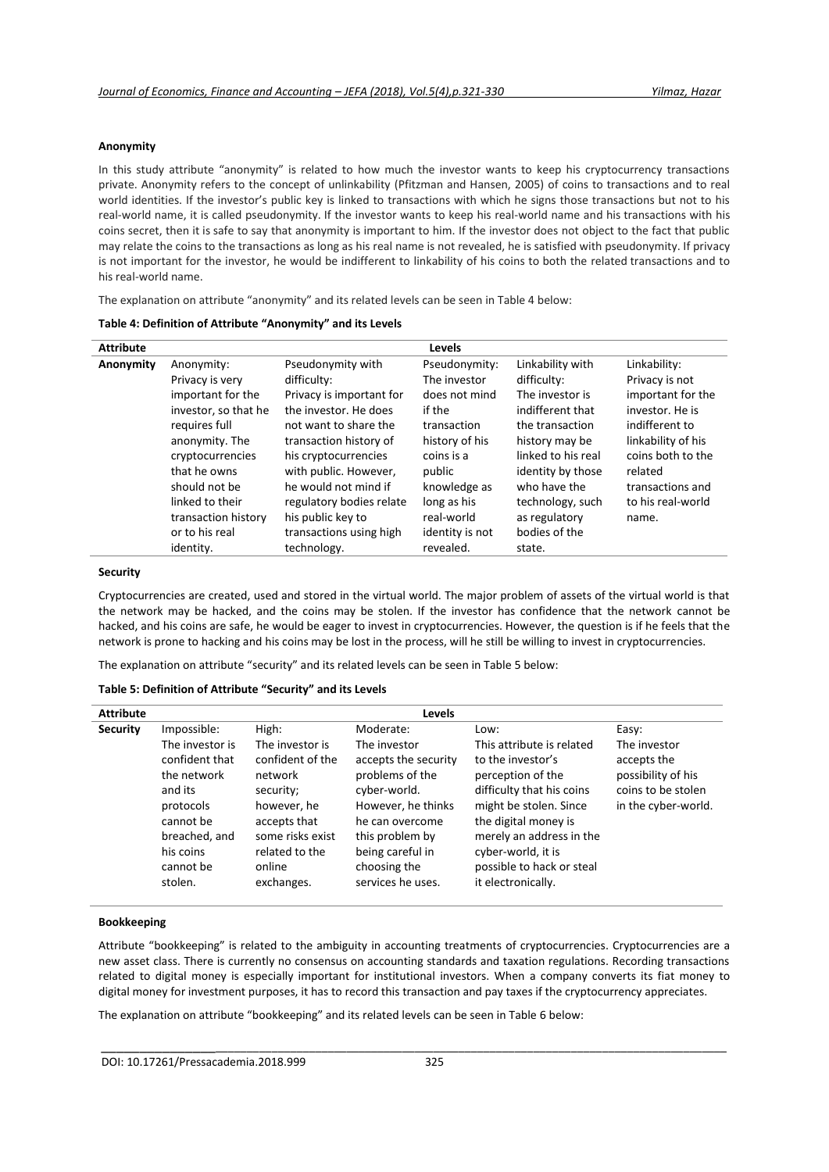#### **Anonymity**

In this study attribute "anonymity" is related to how much the investor wants to keep his cryptocurrency transactions private. Anonymity refers to the concept of unlinkability (Pfitzman and Hansen, 2005) of coins to transactions and to real world identities. If the investor's public key is linked to transactions with which he signs those transactions but not to his real-world name, it is called pseudonymity. If the investor wants to keep his real-world name and his transactions with his coins secret, then it is safe to say that anonymity is important to him. If the investor does not object to the fact that public may relate the coins to the transactions as long as his real name is not revealed, he is satisfied with pseudonymity. If privacy is not important for the investor, he would be indifferent to linkability of his coins to both the related transactions and to his real-world name.

The explanation on attribute "anonymity" and its related levels can be seen in Table 4 below:

| Table 4: Definition of Attribute "Anonymity" and its Levels |  |  |
|-------------------------------------------------------------|--|--|
|-------------------------------------------------------------|--|--|

| <b>Attribute</b> |                      |                          | <b>Levels</b>   |                    |                    |
|------------------|----------------------|--------------------------|-----------------|--------------------|--------------------|
| Anonymity        | Anonymity:           | Pseudonymity with        | Pseudonymity:   | Linkability with   | Linkability:       |
|                  | Privacy is very      | difficulty:              | The investor    | difficulty:        | Privacy is not     |
|                  | important for the    | Privacy is important for | does not mind   | The investor is    | important for the  |
|                  | investor, so that he | the investor. He does    | if the          | indifferent that   | investor. He is    |
|                  | requires full        | not want to share the    | transaction     | the transaction    | indifferent to     |
|                  | anonymity. The       | transaction history of   | history of his  | history may be     | linkability of his |
|                  | cryptocurrencies     | his cryptocurrencies     | coins is a      | linked to his real | coins both to the  |
|                  | that he owns         | with public. However,    | public          | identity by those  | related            |
|                  | should not be        | he would not mind if     | knowledge as    | who have the       | transactions and   |
|                  | linked to their      | regulatory bodies relate | long as his     | technology, such   | to his real-world  |
|                  | transaction history  | his public key to        | real-world      | as regulatory      | name.              |
|                  | or to his real       | transactions using high  | identity is not | bodies of the      |                    |
|                  | identity.            | technology.              | revealed.       | state.             |                    |

### **Security**

Cryptocurrencies are created, used and stored in the virtual world. The major problem of assets of the virtual world is that the network may be hacked, and the coins may be stolen. If the investor has confidence that the network cannot be hacked, and his coins are safe, he would be eager to invest in cryptocurrencies. However, the question is if he feels that the network is prone to hacking and his coins may be lost in the process, will he still be willing to invest in cryptocurrencies.

The explanation on attribute "security" and its related levels can be seen in Table 5 below:

### **Table 5: Definition of Attribute "Security" and its Levels**

| <b>Attribute</b> |                                                                                                                                             |                                                                                                                                                          | <b>Levels</b>                                                                                                                                                                                |                                                                                                                                                                                                                                                         |                                                                                                |
|------------------|---------------------------------------------------------------------------------------------------------------------------------------------|----------------------------------------------------------------------------------------------------------------------------------------------------------|----------------------------------------------------------------------------------------------------------------------------------------------------------------------------------------------|---------------------------------------------------------------------------------------------------------------------------------------------------------------------------------------------------------------------------------------------------------|------------------------------------------------------------------------------------------------|
| <b>Security</b>  | Impossible:                                                                                                                                 | High:                                                                                                                                                    | Moderate:                                                                                                                                                                                    | Low:                                                                                                                                                                                                                                                    | Easy:                                                                                          |
|                  | The investor is<br>confident that<br>the network<br>and its<br>protocols<br>cannot be<br>breached, and<br>his coins<br>cannot be<br>stolen. | The investor is<br>confident of the<br>network<br>security;<br>however, he<br>accepts that<br>some risks exist<br>related to the<br>online<br>exchanges. | The investor<br>accepts the security<br>problems of the<br>cyber-world.<br>However, he thinks<br>he can overcome<br>this problem by<br>being careful in<br>choosing the<br>services he uses. | This attribute is related<br>to the investor's<br>perception of the<br>difficulty that his coins<br>might be stolen. Since<br>the digital money is<br>merely an address in the<br>cyber-world, it is<br>possible to hack or steal<br>it electronically. | The investor<br>accepts the<br>possibility of his<br>coins to be stolen<br>in the cyber-world. |

### **Bookkeeping**

Attribute "bookkeeping" is related to the ambiguity in accounting treatments of cryptocurrencies. Cryptocurrencies are a new asset class. There is currently no consensus on accounting standards and taxation regulations. Recording transactions related to digital money is especially important for institutional investors. When a company converts its fiat money to digital money for investment purposes, it has to record this transaction and pay taxes if the cryptocurrency appreciates.

\_\_\_\_\_\_\_\_\_\_\_\_\_\_\_\_\_\_\_\_\_\_\_\_\_\_\_\_\_\_\_\_\_\_\_\_\_\_\_\_\_\_\_\_\_\_\_\_\_\_\_\_\_\_\_\_\_\_\_\_\_\_\_\_\_\_\_\_\_\_\_\_\_\_\_\_\_\_\_\_\_\_\_\_\_\_\_\_\_\_\_\_\_\_\_\_\_

The explanation on attribute "bookkeeping" and its related levels can be seen in Table 6 below: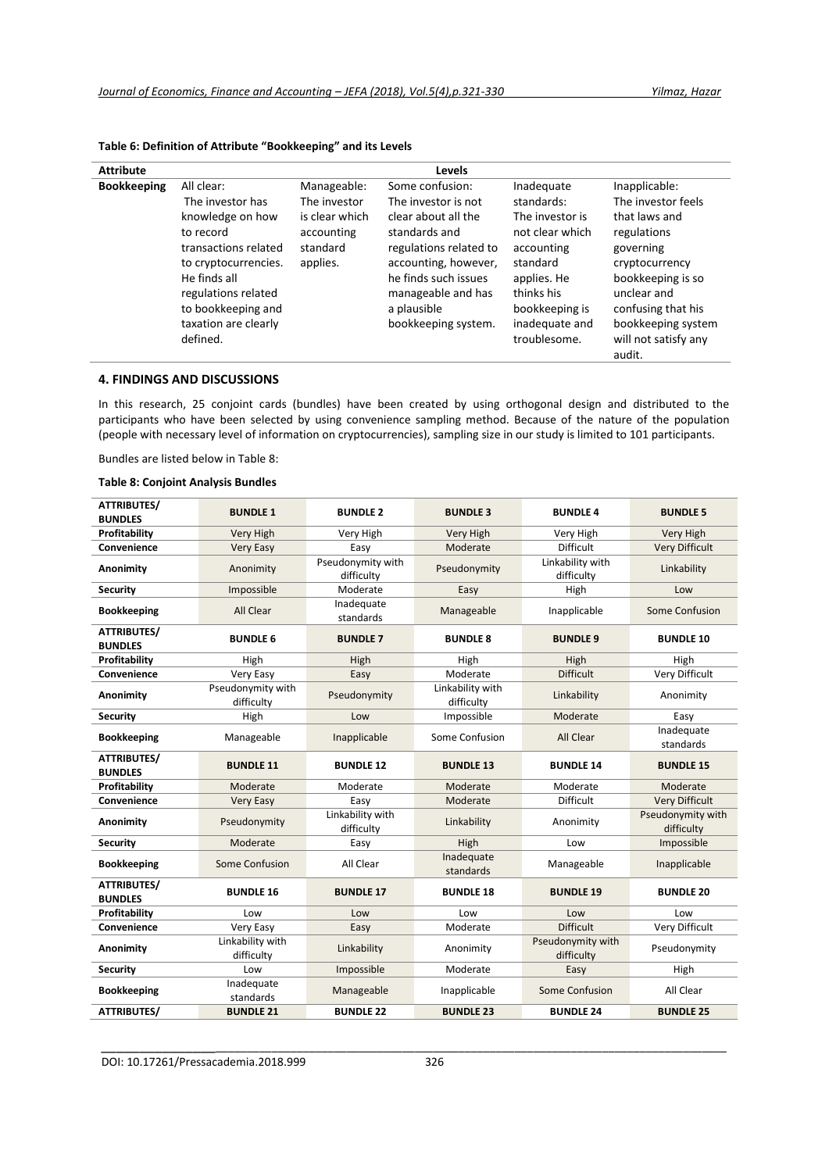| <b>Attribute</b>   |                                                                                                                                                                                                                  |                                                                                     | Levels                                                                                                                                                                                                               |                                                                                                                                                                           |                                                                                                                                                                                                                      |
|--------------------|------------------------------------------------------------------------------------------------------------------------------------------------------------------------------------------------------------------|-------------------------------------------------------------------------------------|----------------------------------------------------------------------------------------------------------------------------------------------------------------------------------------------------------------------|---------------------------------------------------------------------------------------------------------------------------------------------------------------------------|----------------------------------------------------------------------------------------------------------------------------------------------------------------------------------------------------------------------|
| <b>Bookkeeping</b> | All clear:<br>The investor has<br>knowledge on how<br>to record<br>transactions related<br>to cryptocurrencies.<br>He finds all<br>regulations related<br>to bookkeeping and<br>taxation are clearly<br>defined. | Manageable:<br>The investor<br>is clear which<br>accounting<br>standard<br>applies. | Some confusion:<br>The investor is not<br>clear about all the<br>standards and<br>regulations related to<br>accounting, however,<br>he finds such issues<br>manageable and has<br>a plausible<br>bookkeeping system. | Inadequate<br>standards:<br>The investor is<br>not clear which<br>accounting<br>standard<br>applies. He<br>thinks his<br>bookkeeping is<br>inadequate and<br>troublesome. | Inapplicable:<br>The investor feels<br>that laws and<br>regulations<br>governing<br>cryptocurrency<br>bookkeeping is so<br>unclear and<br>confusing that his<br>bookkeeping system<br>will not satisfy any<br>audit. |

# **Table 6: Definition of Attribute "Bookkeeping" and its Levels**

## **4. FINDINGS AND DISCUSSIONS**

In this research, 25 conjoint cards (bundles) have been created by using orthogonal design and distributed to the participants who have been selected by using convenience sampling method. Because of the nature of the population (people with necessary level of information on cryptocurrencies), sampling size in our study is limited to 101 participants.

Bundles are listed below in Table 8:

# **Table 8: Conjoint Analysis Bundles**

| <b>ATTRIBUTES/</b><br><b>BUNDLES</b>     | <b>BUNDLE 1</b>                             | <b>BUNDLE 2</b>                 | <b>BUNDLE 3</b>                  | <b>BUNDLE 4</b>                    | <b>BUNDLE 5</b>                 |
|------------------------------------------|---------------------------------------------|---------------------------------|----------------------------------|------------------------------------|---------------------------------|
| Profitability                            | Very High                                   | Very High                       | Very High                        | Very High                          | Very High                       |
| Convenience                              | <b>Very Easy</b>                            | Easy                            | Moderate                         | <b>Difficult</b>                   | <b>Very Difficult</b>           |
| Anonimity                                | Anonimity                                   | Pseudonymity with<br>difficulty | Pseudonymity                     | Linkability with<br>difficulty     | Linkability                     |
| <b>Security</b>                          | Impossible                                  | Moderate                        | Easy                             | High                               | Low                             |
| <b>Bookkeeping</b>                       | All Clear                                   | Inadequate<br>standards         | Manageable                       | Inapplicable                       | Some Confusion                  |
| <b>ATTRIBUTES/</b><br><b>BUNDLES</b>     | <b>BUNDLE 6</b>                             | <b>BUNDLE 7</b>                 | <b>BUNDLE 8</b>                  | <b>BUNDLE 9</b>                    | <b>BUNDLE 10</b>                |
| Profitability                            | High                                        | High                            | High                             | High                               | High                            |
| Convenience                              | Very Easy                                   | Easy                            | Moderate                         | <b>Difficult</b>                   | Very Difficult                  |
| Anonimity                                | Pseudonymity with<br>difficulty             | Pseudonymity                    | Linkability with<br>difficulty   | Linkability                        | Anonimity                       |
| <b>Security</b>                          | High                                        | Low                             | Impossible                       | Moderate                           | Easy                            |
| <b>Bookkeeping</b>                       | Manageable                                  | Inapplicable                    | Some Confusion                   | All Clear                          | Inadequate<br>standards         |
| <b>ATTRIBUTES/</b><br><b>BUNDLES</b>     | <b>BUNDLE 11</b>                            | <b>BUNDLE 12</b>                | <b>BUNDLE 13</b>                 | <b>BUNDLE 14</b>                   | <b>BUNDLE 15</b>                |
| Profitability                            | Moderate                                    | Moderate                        | Moderate                         | Moderate                           | Moderate                        |
| Convenience                              | <b>Very Easy</b>                            | Easy                            | Moderate                         | <b>Difficult</b>                   | <b>Very Difficult</b>           |
| Anonimity                                | Pseudonymity                                | Linkability with<br>difficulty  | Linkability                      | Anonimity                          | Pseudonymity with<br>difficulty |
| <b>Security</b>                          | Moderate                                    | Easy                            | High                             | Low                                | Impossible                      |
| <b>Bookkeeping</b>                       | Some Confusion                              | All Clear                       | Inadequate<br>standards          | Manageable                         | Inapplicable                    |
| <b>ATTRIBUTES/</b><br><b>BUNDLES</b>     | <b>BUNDLE 16</b>                            | <b>BUNDLE 17</b>                | <b>BUNDLE 18</b>                 | <b>BUNDLE 19</b>                   | <b>BUNDLE 20</b>                |
| Profitability                            | Low                                         | Low                             | Low                              | Low                                | Low                             |
| Convenience                              | Very Easy                                   | Easy                            | Moderate                         | <b>Difficult</b>                   | Very Difficult                  |
| Anonimity                                | Linkability with<br>difficulty              | Linkability                     | Anonimity                        | Pseudonymity with<br>difficulty    | Pseudonymity                    |
| <b>Security</b>                          | Low                                         | Impossible                      | Moderate                         | Easy                               | High                            |
|                                          |                                             |                                 |                                  |                                    |                                 |
| <b>Bookkeeping</b><br><b>ATTRIBUTES/</b> | Inadequate<br>standards<br><b>BUNDLE 21</b> | Manageable<br><b>BUNDLE 22</b>  | Inapplicable<br><b>BUNDLE 23</b> | Some Confusion<br><b>BUNDLE 24</b> | All Clear<br><b>BUNDLE 25</b>   |

DOI: 10.17261/Pressacademia.2018.999 326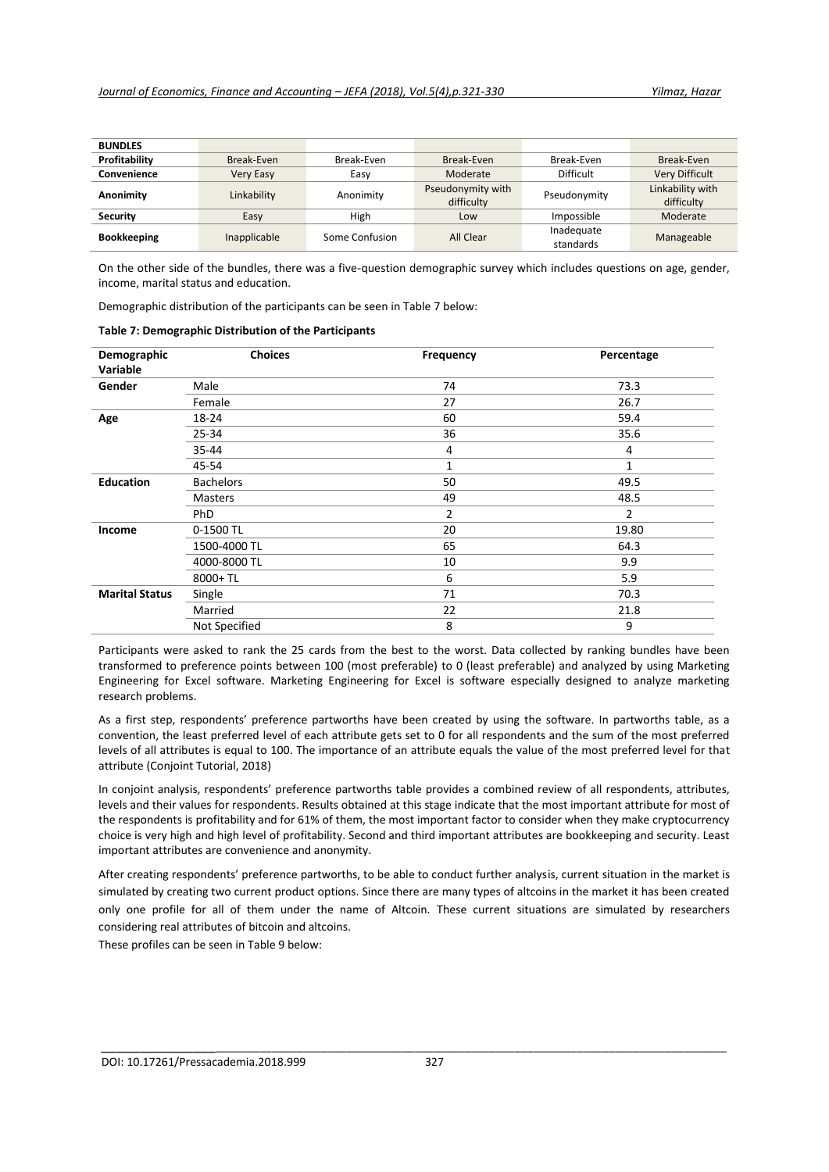| <b>BUNDLES</b>     |                  |                |                                 |                         |                                |
|--------------------|------------------|----------------|---------------------------------|-------------------------|--------------------------------|
| Profitability      | Break-Even       | Break-Even     | Break-Even                      | Break-Even              | Break-Even                     |
| Convenience        | <b>Very Easy</b> | Easy           | Moderate                        | Difficult               | Very Difficult                 |
| Anonimity          | Linkability      | Anonimity      | Pseudonymity with<br>difficulty | Pseudonymity            | Linkability with<br>difficulty |
| <b>Security</b>    | Easy             | High           | Low                             | Impossible              | Moderate                       |
| <b>Bookkeeping</b> | Inapplicable     | Some Confusion | All Clear                       | Inadequate<br>standards | Manageable                     |

On the other side of the bundles, there was a five-question demographic survey which includes questions on age, gender, income, marital status and education.

Demographic distribution of the participants can be seen in Table 7 below:

| Demographic<br>Variable | <b>Choices</b>   | <b>Frequency</b> | Percentage |
|-------------------------|------------------|------------------|------------|
| Gender                  | Male             | 74               | 73.3       |
|                         | Female           | 27               | 26.7       |
| Age                     | 18-24            | 60               | 59.4       |
|                         | 25-34            | 36               | 35.6       |
|                         | 35-44            | 4                | 4          |
|                         | 45-54            | 1                | 1          |
| <b>Education</b>        | <b>Bachelors</b> | 50               | 49.5       |
|                         | <b>Masters</b>   | 49               | 48.5       |
|                         | PhD              | 2                | 2          |
| Income                  | 0-1500 TL        | 20               | 19.80      |
|                         | 1500-4000 TL     | 65               | 64.3       |
|                         | 4000-8000 TL     | 10               | 9.9        |
|                         | 8000+TL          | 6                | 5.9        |
| <b>Marital Status</b>   | Single           | 71               | 70.3       |
|                         | Married          | 22               | 21.8       |
|                         | Not Specified    | 8                | 9          |

Participants were asked to rank the 25 cards from the best to the worst. Data collected by ranking bundles have been transformed to preference points between 100 (most preferable) to 0 (least preferable) and analyzed by using Marketing Engineering for Excel software. Marketing Engineering for Excel is software especially designed to analyze marketing research problems.

As a first step, respondents' preference partworths have been created by using the software. In partworths table, as a convention, the least preferred level of each attribute gets set to 0 for all respondents and the sum of the most preferred levels of all attributes is equal to 100. The importance of an attribute equals the value of the most preferred level for that attribute (Conjoint Tutorial, 2018)

In conjoint analysis, respondents' preference partworths table provides a combined review of all respondents, attributes, levels and their values for respondents. Results obtained at this stage indicate that the most important attribute for most of the respondents is profitability and for 61% of them, the most important factor to consider when they make cryptocurrency choice is very high and high level of profitability. Second and third important attributes are bookkeeping and security. Least important attributes are convenience and anonymity.

After creating respondents' preference partworths, to be able to conduct further analysis, current situation in the market is simulated by creating two current product options. Since there are many types of altcoins in the market it has been created only one profile for all of them under the name of Altcoin. These current situations are simulated by researchers considering real attributes of bitcoin and altcoins.

These profiles can be seen in Table 9 below: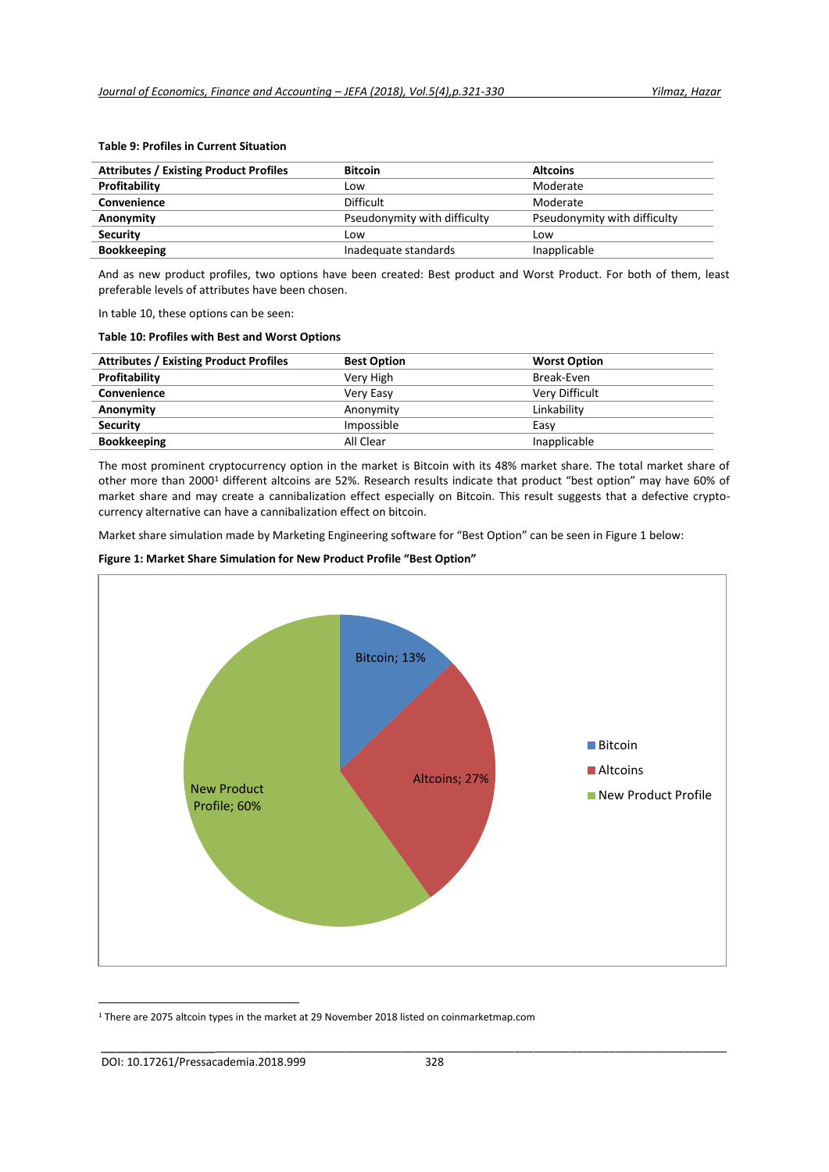| <b>Attributes / Existing Product Profiles</b> | <b>Bitcoin</b>               | <b>Altcoins</b>              |
|-----------------------------------------------|------------------------------|------------------------------|
| Profitability                                 | .ow                          | Moderate                     |
| Convenience                                   | Difficult                    | Moderate                     |
| Anonymity                                     | Pseudonymity with difficulty | Pseudonymity with difficulty |
| <b>Security</b>                               | LOW                          | Low                          |
| <b>Bookkeeping</b>                            | Inadequate standards         | Inapplicable                 |

## **Table 9: Profiles in Current Situation**

And as new product profiles, two options have been created: Best product and Worst Product. For both of them, least preferable levels of attributes have been chosen.

In table 10, these options can be seen:

#### **Table 10: Profiles with Best and Worst Options**

| <b>Attributes / Existing Product Profiles</b> | <b>Best Option</b> | <b>Worst Option</b>   |
|-----------------------------------------------|--------------------|-----------------------|
| Profitability                                 | Very High          | Break-Even            |
| Convenience                                   | Very Easy          | <b>Very Difficult</b> |
| Anonymity                                     | Anonymity          | Linkability           |
| <b>Security</b>                               | Impossible         | Easy                  |
| <b>Bookkeeping</b>                            | All Clear          | Inapplicable          |

The most prominent cryptocurrency option in the market is Bitcoin with its 48% market share. The total market share of other more than 2000<sup>1</sup> different altcoins are 52%. Research results indicate that product "best option" may have 60% of market share and may create a cannibalization effect especially on Bitcoin. This result suggests that a defective cryptocurrency alternative can have a cannibalization effect on bitcoin.

Market share simulation made by Marketing Engineering software for "Best Option" can be seen in Figure 1 below:

# **Figure 1: Market Share Simulation for New Product Profile "Best Option"**



<sup>1</sup> There are 2075 altcoin types in the market at 29 November 2018 listed on coinmarketmap.com

**.**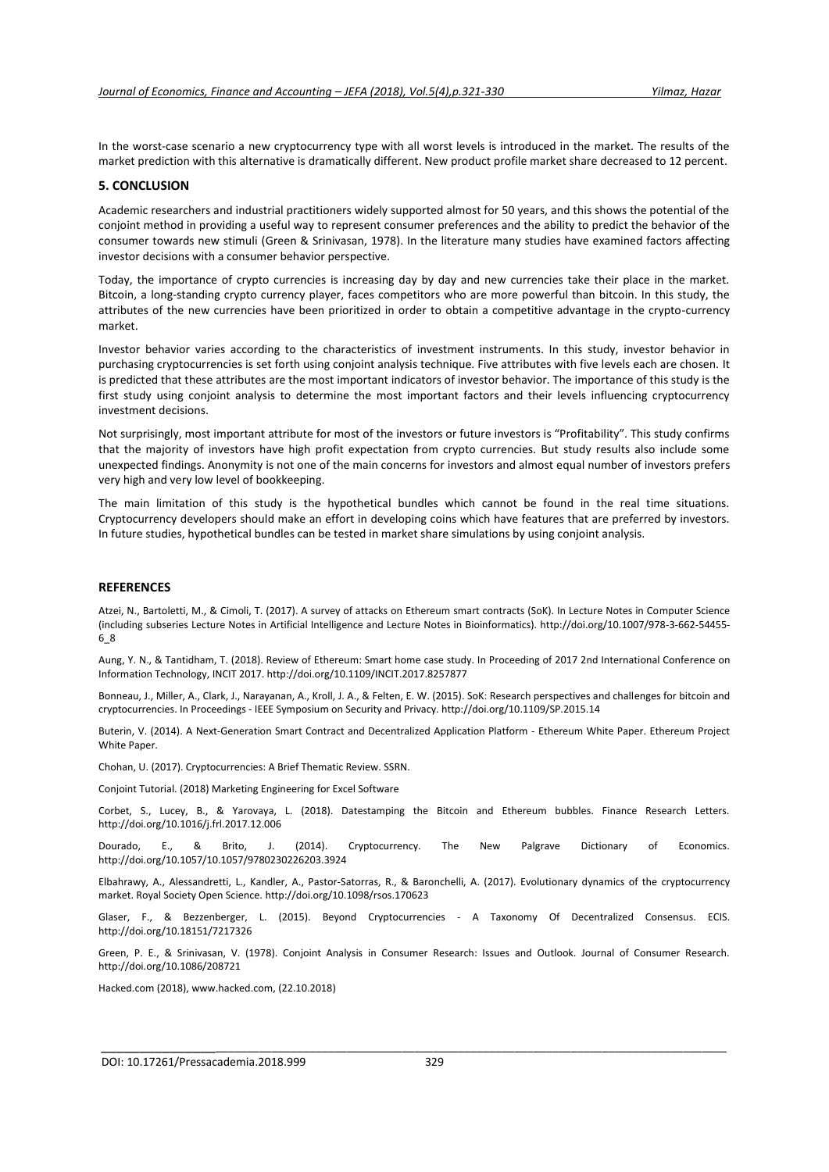In the worst-case scenario a new cryptocurrency type with all worst levels is introduced in the market. The results of the market prediction with this alternative is dramatically different. New product profile market share decreased to 12 percent.

#### **5. CONCLUSION**

Academic researchers and industrial practitioners widely supported almost for 50 years, and this shows the potential of the conjoint method in providing a useful way to represent consumer preferences and the ability to predict the behavior of the consumer towards new stimuli (Green & Srinivasan, 1978). In the literature many studies have examined factors affecting investor decisions with a consumer behavior perspective.

Today, the importance of crypto currencies is increasing day by day and new currencies take their place in the market. Bitcoin, a long-standing crypto currency player, faces competitors who are more powerful than bitcoin. In this study, the attributes of the new currencies have been prioritized in order to obtain a competitive advantage in the crypto-currency market.

Investor behavior varies according to the characteristics of investment instruments. In this study, investor behavior in purchasing cryptocurrencies is set forth using conjoint analysis technique. Five attributes with five levels each are chosen. It is predicted that these attributes are the most important indicators of investor behavior. The importance of this study is the first study using conjoint analysis to determine the most important factors and their levels influencing cryptocurrency investment decisions.

Not surprisingly, most important attribute for most of the investors or future investors is "Profitability". This study confirms that the majority of investors have high profit expectation from crypto currencies. But study results also include some unexpected findings. Anonymity is not one of the main concerns for investors and almost equal number of investors prefers very high and very low level of bookkeeping.

The main limitation of this study is the hypothetical bundles which cannot be found in the real time situations. Cryptocurrency developers should make an effort in developing coins which have features that are preferred by investors. In future studies, hypothetical bundles can be tested in market share simulations by using conjoint analysis.

### **REFERENCES**

Atzei, N., Bartoletti, M., & Cimoli, T. (2017). A survey of attacks on Ethereum smart contracts (SoK). In Lecture Notes in Computer Science (including subseries Lecture Notes in Artificial Intelligence and Lecture Notes in Bioinformatics). http://doi.org/10.1007/978-3-662-54455- 6\_8

Aung, Y. N., & Tantidham, T. (2018). Review of Ethereum: Smart home case study. In Proceeding of 2017 2nd International Conference on Information Technology, INCIT 2017. http://doi.org/10.1109/INCIT.2017.8257877

Bonneau, J., Miller, A., Clark, J., Narayanan, A., Kroll, J. A., & Felten, E. W. (2015). SoK: Research perspectives and challenges for bitcoin and cryptocurrencies. In Proceedings - IEEE Symposium on Security and Privacy. http://doi.org/10.1109/SP.2015.14

Buterin, V. (2014). A Next-Generation Smart Contract and Decentralized Application Platform - Ethereum White Paper. Ethereum Project White Paper.

Chohan, U. (2017). Cryptocurrencies: A Brief Thematic Review. SSRN.

Conjoint Tutorial. (2018) Marketing Engineering for Excel Software

Corbet, S., Lucey, B., & Yarovaya, L. (2018). Datestamping the Bitcoin and Ethereum bubbles. Finance Research Letters. http://doi.org/10.1016/j.frl.2017.12.006

Dourado, E., & Brito, J. (2014). Cryptocurrency. The New Palgrave Dictionary of Economics. http://doi.org/10.1057/10.1057/9780230226203.3924

Elbahrawy, A., Alessandretti, L., Kandler, A., Pastor-Satorras, R., & Baronchelli, A. (2017). Evolutionary dynamics of the cryptocurrency market. Royal Society Open Science. http://doi.org/10.1098/rsos.170623

Glaser, F., & Bezzenberger, L. (2015). Beyond Cryptocurrencies - A Taxonomy Of Decentralized Consensus. ECIS. http://doi.org/10.18151/7217326

Green, P. E., & Srinivasan, V. (1978). Conjoint Analysis in Consumer Research: Issues and Outlook. Journal of Consumer Research. http://doi.org/10.1086/208721

\_\_\_\_\_\_\_\_\_\_\_\_\_\_\_\_\_\_\_\_\_\_\_\_\_\_\_\_\_\_\_\_\_\_\_\_\_\_\_\_\_\_\_\_\_\_\_\_\_\_\_\_\_\_\_\_\_\_\_\_\_\_\_\_\_\_\_\_\_\_\_\_\_\_\_\_\_\_\_\_\_\_\_\_\_\_\_\_\_\_\_\_\_\_\_\_\_

Hacked.com (2018), www.hacked.com, (22.10.2018)

DOI: 10.17261/Pressacademia.2018.999 329